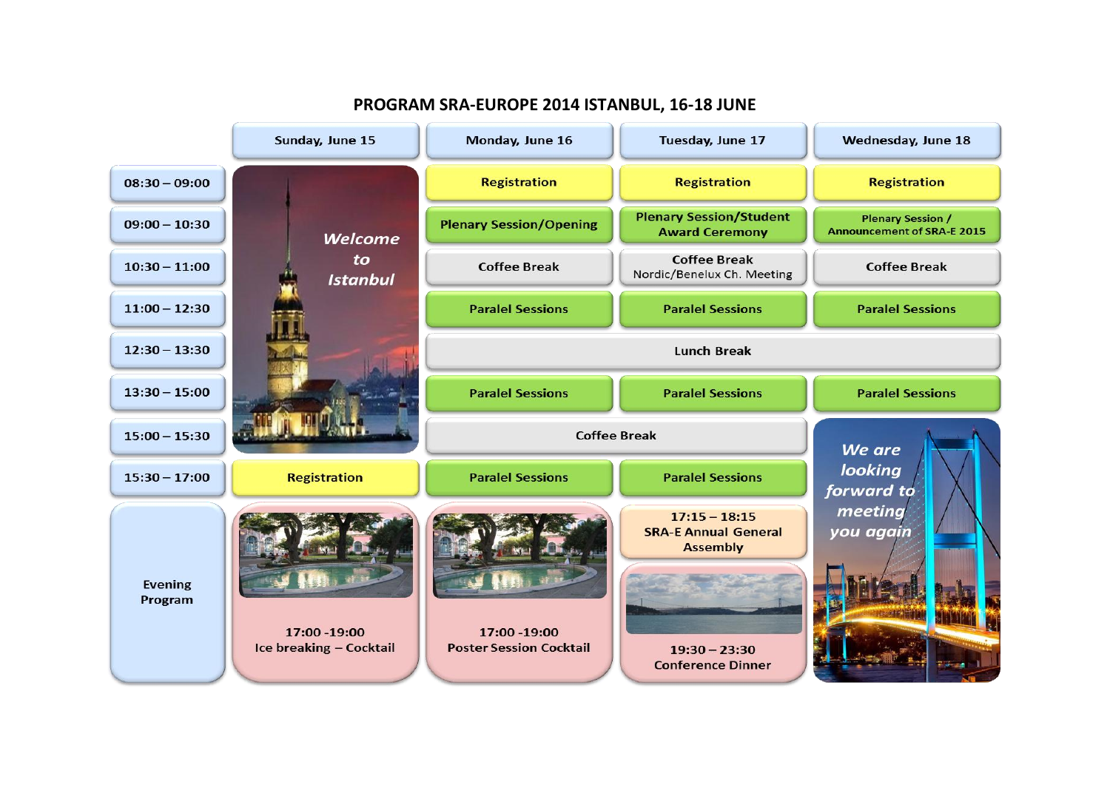

**PROGRAM SRA-EUROPE 2014 ISTANBUL, 16-18 JUNE**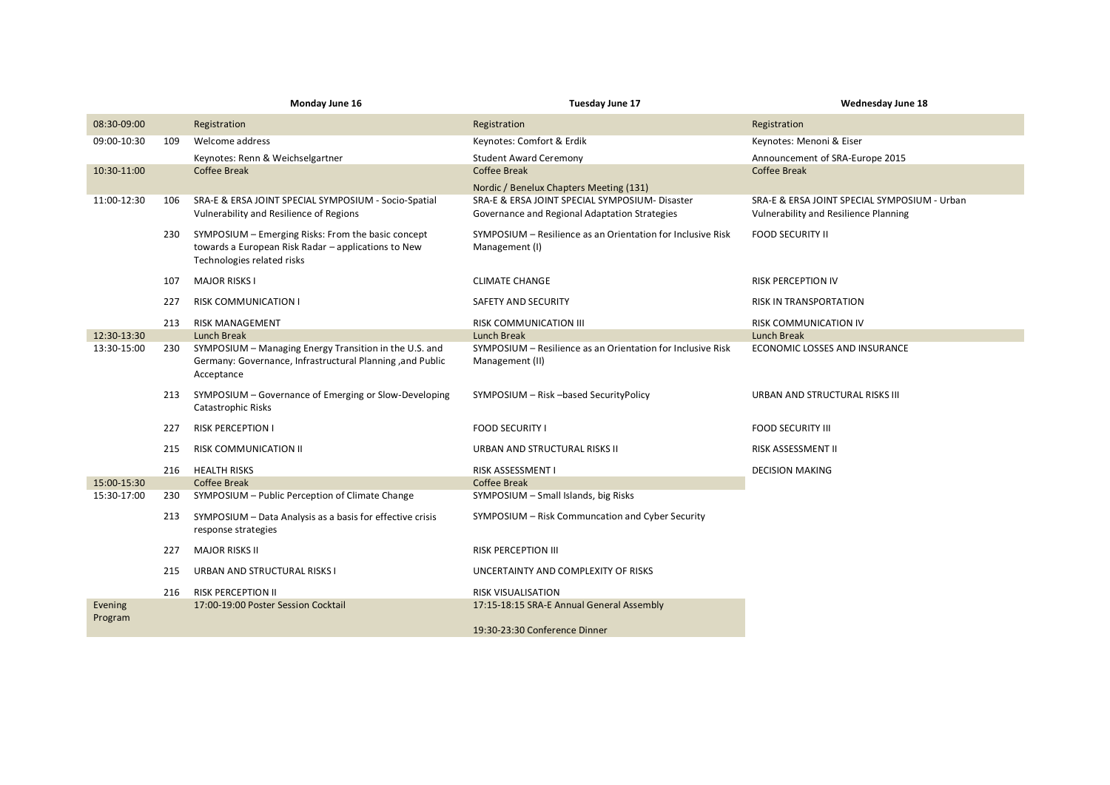|                    |     | Monday June 16                                                                                                                          | Tuesday June 17                                                                                 | <b>Wednesday June 18</b>                                                              |
|--------------------|-----|-----------------------------------------------------------------------------------------------------------------------------------------|-------------------------------------------------------------------------------------------------|---------------------------------------------------------------------------------------|
| 08:30-09:00        |     | Registration                                                                                                                            | Registration                                                                                    | Registration                                                                          |
| 09:00-10:30        | 109 | Welcome address                                                                                                                         | Keynotes: Comfort & Erdik                                                                       | Keynotes: Menoni & Eiser                                                              |
|                    |     | Keynotes: Renn & Weichselgartner                                                                                                        | <b>Student Award Ceremony</b>                                                                   | Announcement of SRA-Europe 2015                                                       |
| 10:30-11:00        |     | <b>Coffee Break</b>                                                                                                                     | <b>Coffee Break</b>                                                                             | <b>Coffee Break</b>                                                                   |
|                    |     |                                                                                                                                         | Nordic / Benelux Chapters Meeting (131)                                                         |                                                                                       |
| 11:00-12:30        | 106 | SRA-E & ERSA JOINT SPECIAL SYMPOSIUM - Socio-Spatial<br>Vulnerability and Resilience of Regions                                         | SRA-E & ERSA JOINT SPECIAL SYMPOSIUM- Disaster<br>Governance and Regional Adaptation Strategies | SRA-E & ERSA JOINT SPECIAL SYMPOSIUM - Urban<br>Vulnerability and Resilience Planning |
|                    | 230 | SYMPOSIUM - Emerging Risks: From the basic concept<br>towards a European Risk Radar - applications to New<br>Technologies related risks | SYMPOSIUM - Resilience as an Orientation for Inclusive Risk<br>Management (I)                   | <b>FOOD SECURITY II</b>                                                               |
|                    | 107 | <b>MAJOR RISKS I</b>                                                                                                                    | <b>CLIMATE CHANGE</b>                                                                           | <b>RISK PERCEPTION IV</b>                                                             |
|                    | 227 | <b>RISK COMMUNICATION I</b>                                                                                                             | SAFETY AND SECURITY                                                                             | RISK IN TRANSPORTATION                                                                |
|                    | 213 | <b>RISK MANAGEMENT</b>                                                                                                                  | <b>RISK COMMUNICATION III</b>                                                                   | RISK COMMUNICATION IV                                                                 |
| 12:30-13:30        |     | <b>Lunch Break</b>                                                                                                                      | <b>Lunch Break</b>                                                                              | <b>Lunch Break</b>                                                                    |
| 13:30-15:00        | 230 | SYMPOSIUM - Managing Energy Transition in the U.S. and<br>Germany: Governance, Infrastructural Planning, and Public<br>Acceptance       | SYMPOSIUM - Resilience as an Orientation for Inclusive Risk<br>Management (II)                  | ECONOMIC LOSSES AND INSURANCE                                                         |
|                    | 213 | SYMPOSIUM - Governance of Emerging or Slow-Developing<br>Catastrophic Risks                                                             | SYMPOSIUM - Risk -based SecurityPolicy                                                          | URBAN AND STRUCTURAL RISKS III                                                        |
|                    | 227 | <b>RISK PERCEPTION I</b>                                                                                                                | <b>FOOD SECURITY I</b>                                                                          | <b>FOOD SECURITY III</b>                                                              |
|                    | 215 | <b>RISK COMMUNICATION II</b>                                                                                                            | URBAN AND STRUCTURAL RISKS II                                                                   | RISK ASSESSMENT II                                                                    |
|                    | 216 | <b>HEALTH RISKS</b>                                                                                                                     | <b>RISK ASSESSMENT I</b>                                                                        | <b>DECISION MAKING</b>                                                                |
| 15:00-15:30        |     | <b>Coffee Break</b>                                                                                                                     | <b>Coffee Break</b>                                                                             |                                                                                       |
| 15:30-17:00        | 230 | SYMPOSIUM - Public Perception of Climate Change                                                                                         | SYMPOSIUM - Small Islands, big Risks                                                            |                                                                                       |
|                    | 213 | SYMPOSIUM - Data Analysis as a basis for effective crisis<br>response strategies                                                        | SYMPOSIUM - Risk Communcation and Cyber Security                                                |                                                                                       |
|                    | 227 | <b>MAJOR RISKS II</b>                                                                                                                   | <b>RISK PERCEPTION III</b>                                                                      |                                                                                       |
|                    | 215 | URBAN AND STRUCTURAL RISKS I                                                                                                            | UNCERTAINTY AND COMPLEXITY OF RISKS                                                             |                                                                                       |
|                    | 216 | <b>RISK PERCEPTION II</b>                                                                                                               | <b>RISK VISUALISATION</b>                                                                       |                                                                                       |
| Evening<br>Program |     | 17:00-19:00 Poster Session Cocktail                                                                                                     | 17:15-18:15 SRA-E Annual General Assembly                                                       |                                                                                       |
|                    |     |                                                                                                                                         | 19:30-23:30 Conference Dinner                                                                   |                                                                                       |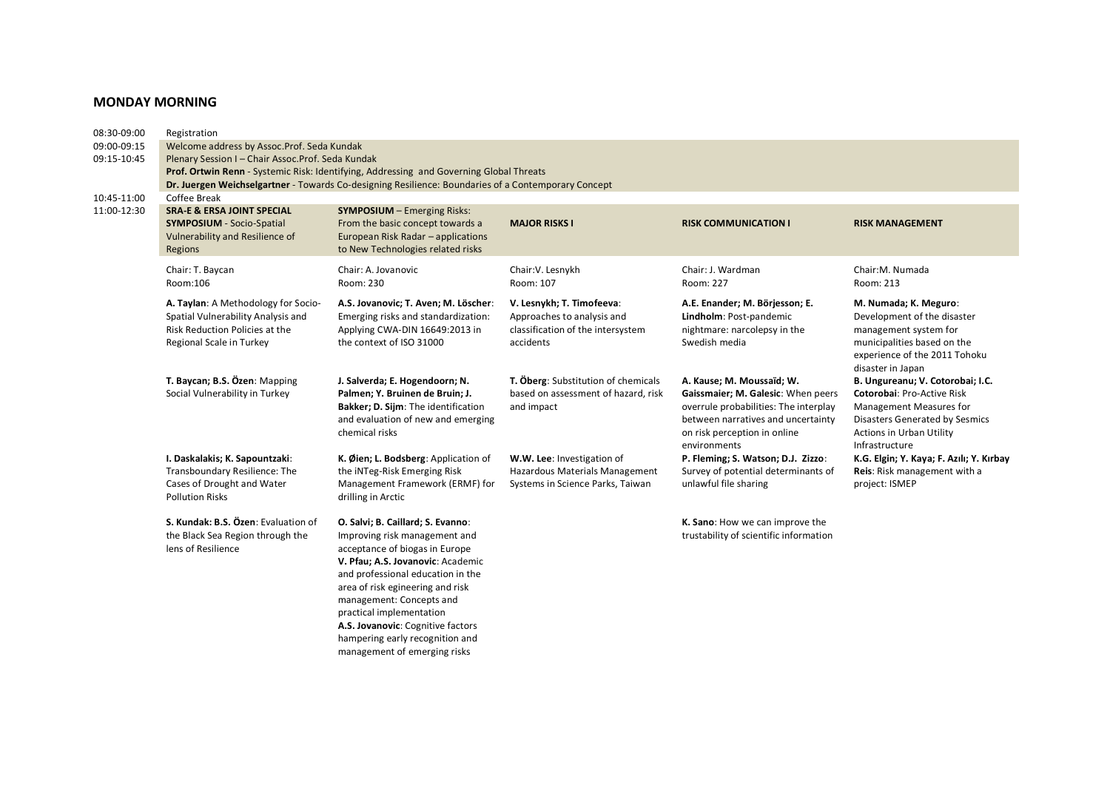# **MONDAY MORNING**

| 08:30-09:00 | Registration                                                                                                                            |                                                                                                                                                                                                                                                                                                                                                    |                                                                                                           |                                                                                                                                                                                                |                                                                                                                                                                                  |  |  |  |  |
|-------------|-----------------------------------------------------------------------------------------------------------------------------------------|----------------------------------------------------------------------------------------------------------------------------------------------------------------------------------------------------------------------------------------------------------------------------------------------------------------------------------------------------|-----------------------------------------------------------------------------------------------------------|------------------------------------------------------------------------------------------------------------------------------------------------------------------------------------------------|----------------------------------------------------------------------------------------------------------------------------------------------------------------------------------|--|--|--|--|
| 09:00-09:15 | Welcome address by Assoc.Prof. Seda Kundak                                                                                              |                                                                                                                                                                                                                                                                                                                                                    |                                                                                                           |                                                                                                                                                                                                |                                                                                                                                                                                  |  |  |  |  |
| 09:15-10:45 | Plenary Session I - Chair Assoc. Prof. Seda Kundak                                                                                      |                                                                                                                                                                                                                                                                                                                                                    |                                                                                                           |                                                                                                                                                                                                |                                                                                                                                                                                  |  |  |  |  |
|             |                                                                                                                                         | Prof. Ortwin Renn - Systemic Risk: Identifying, Addressing and Governing Global Threats                                                                                                                                                                                                                                                            |                                                                                                           |                                                                                                                                                                                                |                                                                                                                                                                                  |  |  |  |  |
|             |                                                                                                                                         | Dr. Juergen Weichselgartner - Towards Co-designing Resilience: Boundaries of a Contemporary Concept                                                                                                                                                                                                                                                |                                                                                                           |                                                                                                                                                                                                |                                                                                                                                                                                  |  |  |  |  |
| 10:45-11:00 | Coffee Break                                                                                                                            |                                                                                                                                                                                                                                                                                                                                                    |                                                                                                           |                                                                                                                                                                                                |                                                                                                                                                                                  |  |  |  |  |
| 11:00-12:30 | <b>SRA-E &amp; ERSA JOINT SPECIAL</b><br><b>SYMPOSIUM</b> - Socio-Spatial<br>Vulnerability and Resilience of<br>Regions                 | <b>SYMPOSIUM</b> - Emerging Risks:<br>From the basic concept towards a<br>European Risk Radar - applications<br>to New Technologies related risks                                                                                                                                                                                                  | <b>MAJOR RISKS I</b>                                                                                      | <b>RISK COMMUNICATION I</b>                                                                                                                                                                    | <b>RISK MANAGEMENT</b>                                                                                                                                                           |  |  |  |  |
|             | Chair: T. Baycan<br>Room:106                                                                                                            | Chair: A. Jovanovic<br>Room: 230                                                                                                                                                                                                                                                                                                                   | Chair: V. Lesnykh<br>Room: 107                                                                            | Chair: J. Wardman<br>Room: 227                                                                                                                                                                 | Chair: M. Numada<br>Room: 213                                                                                                                                                    |  |  |  |  |
|             | A. Taylan: A Methodology for Socio-<br>Spatial Vulnerability Analysis and<br>Risk Reduction Policies at the<br>Regional Scale in Turkey | A.S. Jovanovic; T. Aven; M. Löscher:<br>Emerging risks and standardization:<br>Applying CWA-DIN 16649:2013 in<br>the context of ISO 31000                                                                                                                                                                                                          | V. Lesnykh; T. Timofeeva:<br>Approaches to analysis and<br>classification of the intersystem<br>accidents | A.E. Enander; M. Börjesson; E.<br>Lindholm: Post-pandemic<br>nightmare: narcolepsy in the<br>Swedish media                                                                                     | M. Numada; K. Meguro:<br>Development of the disaster<br>management system for<br>municipalities based on the<br>experience of the 2011 Tohoku<br>disaster in Japan               |  |  |  |  |
|             | T. Baycan; B.S. Özen: Mapping<br>Social Vulnerability in Turkey                                                                         | J. Salverda; E. Hogendoorn; N.<br>Palmen; Y. Bruinen de Bruin; J.<br>Bakker; D. Sijm: The identification<br>and evaluation of new and emerging<br>chemical risks                                                                                                                                                                                   | T. Öberg: Substitution of chemicals<br>based on assessment of hazard, risk<br>and impact                  | A. Kause; M. Moussaïd; W.<br>Gaissmaier; M. Galesic: When peers<br>overrule probabilities: The interplay<br>between narratives and uncertainty<br>on risk perception in online<br>environments | B. Ungureanu; V. Cotorobai; I.C.<br>Cotorobai: Pro-Active Risk<br>Management Measures for<br>Disasters Generated by Sesmics<br><b>Actions in Urban Utility</b><br>Infrastructure |  |  |  |  |
|             | I. Daskalakis; K. Sapountzaki:<br>Transboundary Resilience: The<br>Cases of Drought and Water<br><b>Pollution Risks</b>                 | K. Øien; L. Bodsberg: Application of<br>the iNTeg-Risk Emerging Risk<br>Management Framework (ERMF) for<br>drilling in Arctic                                                                                                                                                                                                                      | W.W. Lee: Investigation of<br>Hazardous Materials Management<br>Systems in Science Parks, Taiwan          | P. Fleming; S. Watson; D.J. Zizzo:<br>Survey of potential determinants of<br>unlawful file sharing                                                                                             | K.G. Elgin; Y. Kaya; F. Azılı; Y. Kırbay<br>Reis: Risk management with a<br>project: ISMEP                                                                                       |  |  |  |  |
|             | S. Kundak: B.S. Özen: Evaluation of<br>the Black Sea Region through the<br>lens of Resilience                                           | O. Salvi; B. Caillard; S. Evanno:<br>Improving risk management and<br>acceptance of biogas in Europe<br>V. Pfau; A.S. Jovanovic: Academic<br>and professional education in the<br>area of risk egineering and risk<br>management: Concepts and<br>practical implementation<br>A.S. Jovanovic: Cognitive factors<br>hampering early recognition and |                                                                                                           | K. Sano: How we can improve the<br>trustability of scientific information                                                                                                                      |                                                                                                                                                                                  |  |  |  |  |

management of emerging risks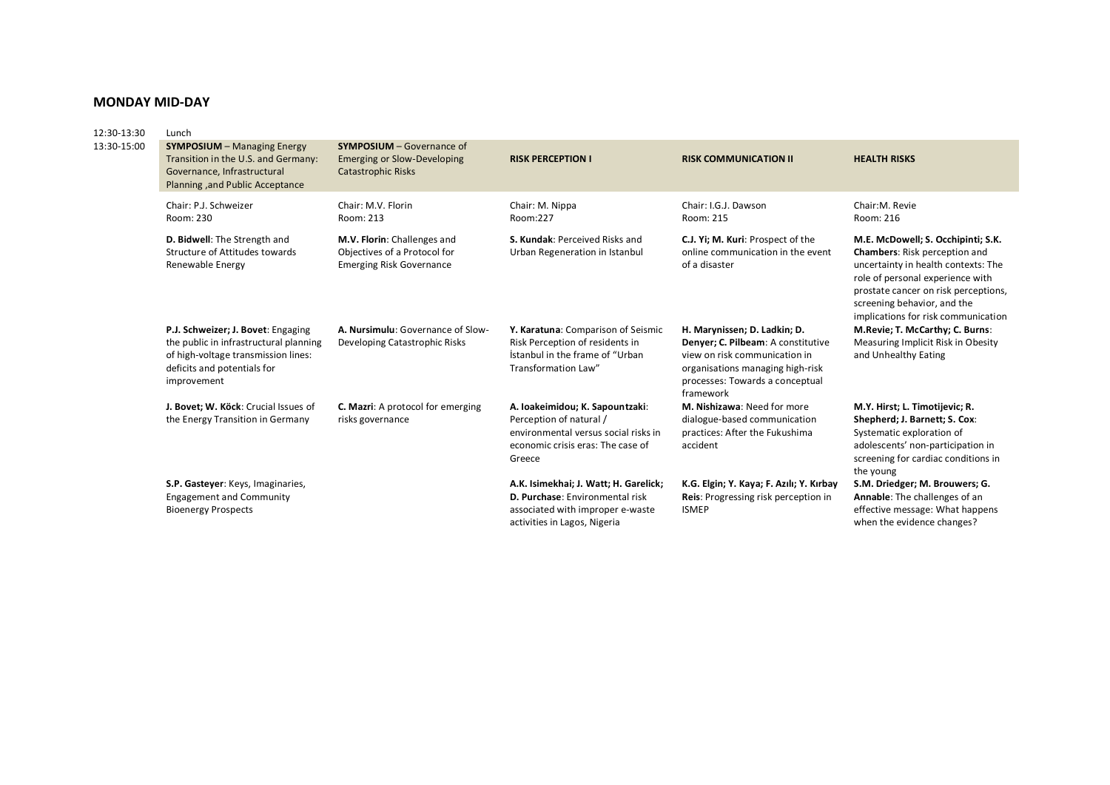## **MONDAY MID-DAY**

| 12:30-13:30 | Lunch                                                                                                                                                             |                                                                                                     |                                                                                                                                                   |                                                                                                                                                                                         |                                                                                                                                                                                                                                                                     |  |  |
|-------------|-------------------------------------------------------------------------------------------------------------------------------------------------------------------|-----------------------------------------------------------------------------------------------------|---------------------------------------------------------------------------------------------------------------------------------------------------|-----------------------------------------------------------------------------------------------------------------------------------------------------------------------------------------|---------------------------------------------------------------------------------------------------------------------------------------------------------------------------------------------------------------------------------------------------------------------|--|--|
| 13:30-15:00 | <b>SYMPOSIUM</b> - Managing Energy<br>Transition in the U.S. and Germany:<br>Governance, Infrastructural<br>Planning, and Public Acceptance                       | <b>SYMPOSIUM - Governance of</b><br><b>Emerging or Slow-Developing</b><br><b>Catastrophic Risks</b> | <b>RISK PERCEPTION I</b>                                                                                                                          | <b>RISK COMMUNICATION II</b>                                                                                                                                                            | <b>HEALTH RISKS</b>                                                                                                                                                                                                                                                 |  |  |
|             | Chair: P.J. Schweizer<br>Room: 230                                                                                                                                | Chair: M.V. Florin<br>Room: 213                                                                     | Chair: M. Nippa<br>Room:227                                                                                                                       | Chair: I.G.J. Dawson<br>Room: 215                                                                                                                                                       | Chair:M. Revie<br>Room: 216                                                                                                                                                                                                                                         |  |  |
|             | D. Bidwell: The Strength and<br>Structure of Attitudes towards<br>Renewable Energy                                                                                | M.V. Florin: Challenges and<br>Objectives of a Protocol for<br><b>Emerging Risk Governance</b>      | S. Kundak: Perceived Risks and<br>Urban Regeneration in Istanbul                                                                                  | C.J. Yi; M. Kuri: Prospect of the<br>online communication in the event<br>of a disaster                                                                                                 | M.E. McDowell; S. Occhipinti; S.K.<br><b>Chambers:</b> Risk perception and<br>uncertainty in health contexts: The<br>role of personal experience with<br>prostate cancer on risk perceptions,<br>screening behavior, and the<br>implications for risk communication |  |  |
|             | P.J. Schweizer; J. Bovet: Engaging<br>the public in infrastructural planning<br>of high-voltage transmission lines:<br>deficits and potentials for<br>improvement | A. Nursimulu: Governance of Slow-<br>Developing Catastrophic Risks                                  | Y. Karatuna: Comparison of Seismic<br>Risk Perception of residents in<br>İstanbul in the frame of "Urban<br>Transformation Law"                   | H. Marynissen; D. Ladkin; D.<br>Denyer; C. Pilbeam: A constitutive<br>view on risk communication in<br>organisations managing high-risk<br>processes: Towards a conceptual<br>framework | M.Revie; T. McCarthy; C. Burns:<br>Measuring Implicit Risk in Obesity<br>and Unhealthy Eating                                                                                                                                                                       |  |  |
|             | J. Bovet; W. Köck: Crucial Issues of<br>the Energy Transition in Germany                                                                                          | C. Mazri: A protocol for emerging<br>risks governance                                               | A. loakeimidou; K. Sapountzaki:<br>Perception of natural /<br>environmental versus social risks in<br>economic crisis eras: The case of<br>Greece | M. Nishizawa: Need for more<br>dialogue-based communication<br>practices: After the Fukushima<br>accident                                                                               | M.Y. Hirst; L. Timotijevic; R.<br>Shepherd; J. Barnett; S. Cox:<br>Systematic exploration of<br>adolescents' non-participation in<br>screening for cardiac conditions in<br>the young                                                                               |  |  |
|             | S.P. Gasteyer: Keys, Imaginaries,<br><b>Engagement and Community</b><br><b>Bioenergy Prospects</b>                                                                |                                                                                                     | A.K. Isimekhai; J. Watt; H. Garelick;<br>D. Purchase: Environmental risk<br>associated with improper e-waste<br>activities in Lagos, Nigeria      | K.G. Elgin; Y. Kaya; F. Azılı; Y. Kırbay<br>Reis: Progressing risk perception in<br><b>ISMEP</b>                                                                                        | S.M. Driedger; M. Brouwers; G.<br>Annable: The challenges of an<br>effective message: What happens<br>when the evidence changes?                                                                                                                                    |  |  |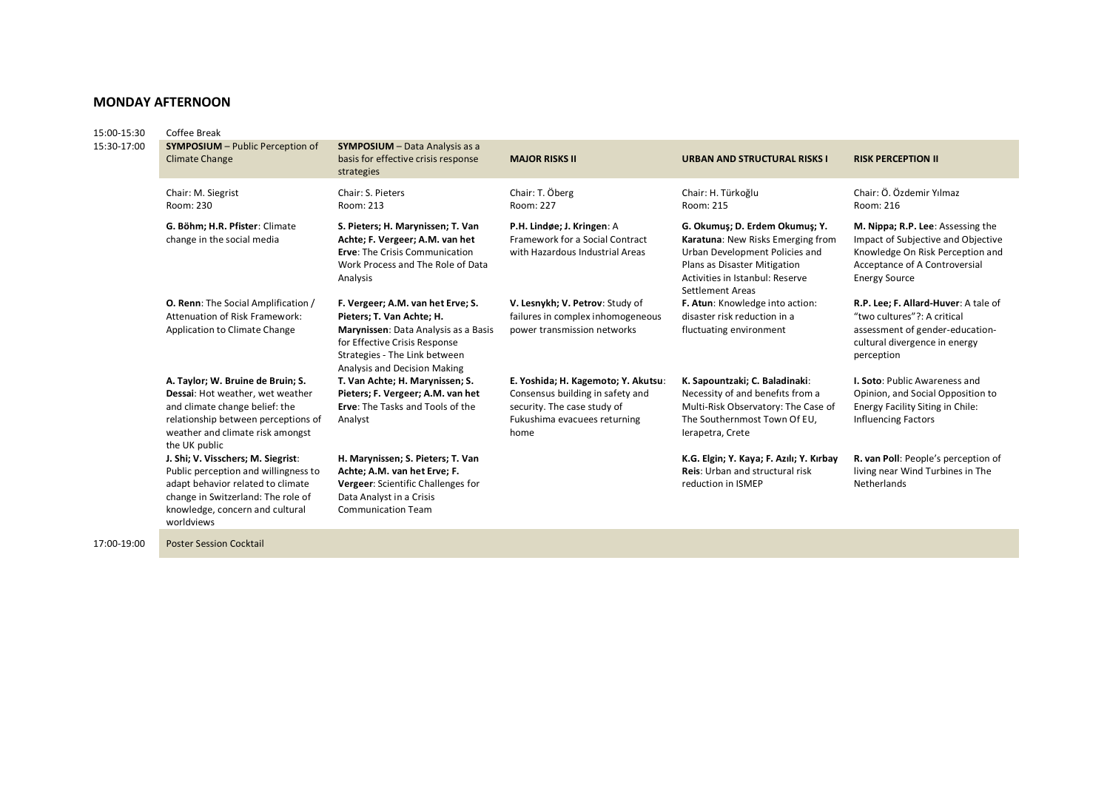## **MONDAY AFTERNOON**

| Coffee Break                                                                                                                                                                                           |                                                                                                                                                                                                          |                                                                                                                                                |                                                                                                                                                                                                     |                                                                                                                                                                      |  |  |  |
|--------------------------------------------------------------------------------------------------------------------------------------------------------------------------------------------------------|----------------------------------------------------------------------------------------------------------------------------------------------------------------------------------------------------------|------------------------------------------------------------------------------------------------------------------------------------------------|-----------------------------------------------------------------------------------------------------------------------------------------------------------------------------------------------------|----------------------------------------------------------------------------------------------------------------------------------------------------------------------|--|--|--|
| <b>SYMPOSIUM</b> - Public Perception of<br><b>Climate Change</b>                                                                                                                                       | <b>SYMPOSIUM</b> - Data Analysis as a<br>basis for effective crisis response<br>strategies                                                                                                               | <b>MAJOR RISKS II</b>                                                                                                                          | URBAN AND STRUCTURAL RISKS I                                                                                                                                                                        | <b>RISK PERCEPTION II</b>                                                                                                                                            |  |  |  |
| Chair: M. Siegrist<br>Room: 230                                                                                                                                                                        | Chair: S. Pieters<br>Room: 213                                                                                                                                                                           | Chair: T. Öberg<br>Room: 227                                                                                                                   | Chair: H. Türkoğlu<br>Room: 215                                                                                                                                                                     | Chair: Ö. Özdemir Yılmaz<br>Room: 216                                                                                                                                |  |  |  |
| G. Böhm; H.R. Pfister: Climate<br>change in the social media                                                                                                                                           | S. Pieters; H. Marynissen; T. Van<br>Achte; F. Vergeer; A.M. van het<br><b>Erve: The Crisis Communication</b><br>Work Process and The Role of Data<br>Analysis                                           | P.H. Lindøe; J. Kringen: A<br>Framework for a Social Contract<br>with Hazardous Industrial Areas                                               | G. Okumuş; D. Erdem Okumuş; Y.<br>Karatuna: New Risks Emerging from<br>Urban Development Policies and<br>Plans as Disaster Mitigation<br>Activities in Istanbul: Reserve<br><b>Settlement Areas</b> | M. Nippa; R.P. Lee: Assessing the<br>Impact of Subjective and Objective<br>Knowledge On Risk Perception and<br>Acceptance of A Controversial<br><b>Energy Source</b> |  |  |  |
| <b>O. Renn:</b> The Social Amplification /<br>Attenuation of Risk Framework:<br>Application to Climate Change                                                                                          | F. Vergeer; A.M. van het Erve; S.<br>Pieters; T. Van Achte; H.<br>Marynissen: Data Analysis as a Basis<br>for Effective Crisis Response<br>Strategies - The Link between<br>Analysis and Decision Making | V. Lesnykh; V. Petrov: Study of<br>failures in complex inhomogeneous<br>power transmission networks                                            | F. Atun: Knowledge into action:<br>disaster risk reduction in a<br>fluctuating environment                                                                                                          | R.P. Lee; F. Allard-Huver: A tale of<br>"two cultures"?: A critical<br>assessment of gender-education-<br>cultural divergence in energy<br>perception                |  |  |  |
| A. Taylor; W. Bruine de Bruin; S.<br>Dessai: Hot weather, wet weather<br>and climate change belief: the<br>relationship between perceptions of<br>weather and climate risk amongst<br>the UK public    | T. Van Achte; H. Marynissen; S.<br>Pieters; F. Vergeer; A.M. van het<br><b>Erve:</b> The Tasks and Tools of the<br>Analyst                                                                               | E. Yoshida; H. Kagemoto; Y. Akutsu:<br>Consensus building in safety and<br>security. The case study of<br>Fukushima evacuees returning<br>home | K. Sapountzaki; C. Baladinaki:<br>Necessity of and benefits from a<br>Multi-Risk Observatory: The Case of<br>The Southernmost Town Of EU,<br>Ierapetra, Crete                                       | <b>I. Soto: Public Awareness and</b><br>Opinion, and Social Opposition to<br>Energy Facility Siting in Chile:<br><b>Influencing Factors</b>                          |  |  |  |
| J. Shi; V. Visschers; M. Siegrist:<br>Public perception and willingness to<br>adapt behavior related to climate<br>change in Switzerland: The role of<br>knowledge, concern and cultural<br>worldviews | H. Marynissen; S. Pieters; T. Van<br>Achte; A.M. van het Erve; F.<br>Vergeer: Scientific Challenges for<br>Data Analyst in a Crisis<br><b>Communication Team</b>                                         |                                                                                                                                                | K.G. Elgin; Y. Kaya; F. Azılı; Y. Kırbay<br>Reis: Urban and structural risk<br>reduction in ISMEP                                                                                                   | R. van Poll: People's perception of<br>living near Wind Turbines in The<br>Netherlands                                                                               |  |  |  |
|                                                                                                                                                                                                        |                                                                                                                                                                                                          |                                                                                                                                                |                                                                                                                                                                                                     |                                                                                                                                                                      |  |  |  |

17:00-19:00 Poster Session Cocktail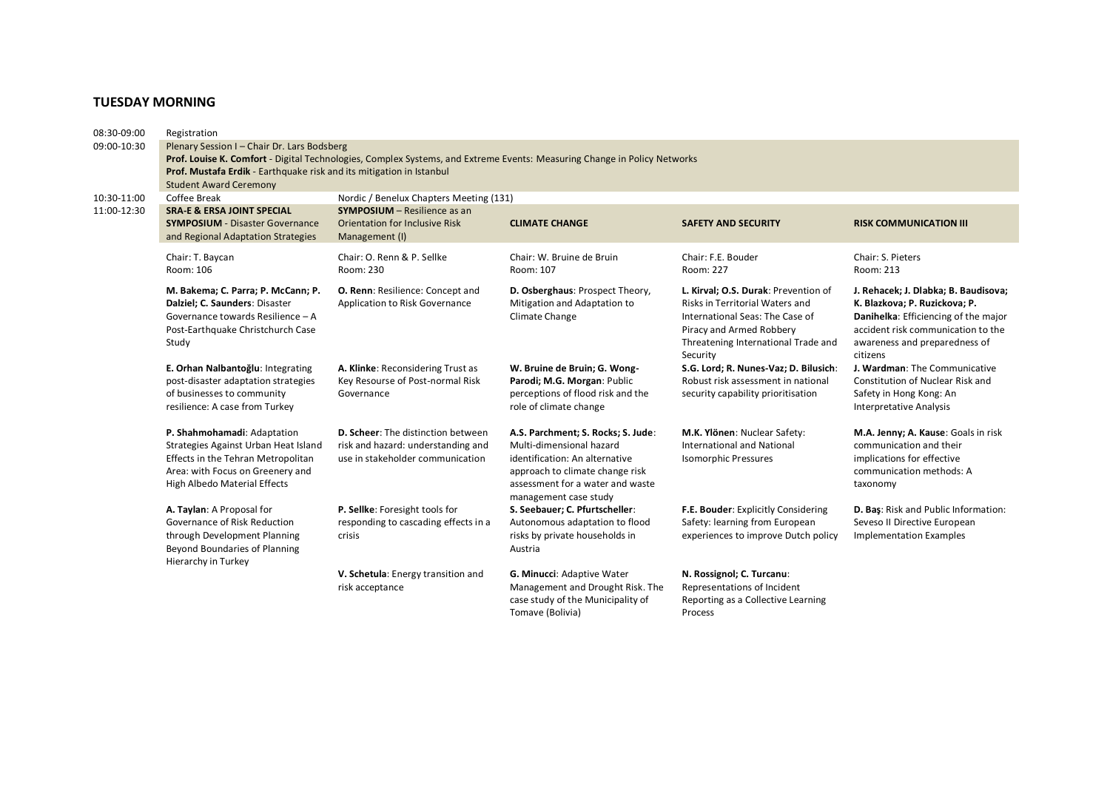# **TUESDAY MORNING**

| 08:30-09:00 | Registration                                                                                                             |                                           |                                    |                                        |                                      |  |  |  |  |
|-------------|--------------------------------------------------------------------------------------------------------------------------|-------------------------------------------|------------------------------------|----------------------------------------|--------------------------------------|--|--|--|--|
| 09:00-10:30 | Plenary Session I - Chair Dr. Lars Bodsberg                                                                              |                                           |                                    |                                        |                                      |  |  |  |  |
|             | Prof. Louise K. Comfort - Digital Technologies, Complex Systems, and Extreme Events: Measuring Change in Policy Networks |                                           |                                    |                                        |                                      |  |  |  |  |
|             | Prof. Mustafa Erdik - Earthquake risk and its mitigation in Istanbul                                                     |                                           |                                    |                                        |                                      |  |  |  |  |
|             | <b>Student Award Ceremony</b>                                                                                            |                                           |                                    |                                        |                                      |  |  |  |  |
| 10:30-11:00 | Coffee Break                                                                                                             | Nordic / Benelux Chapters Meeting (131)   |                                    |                                        |                                      |  |  |  |  |
| 11:00-12:30 | <b>SRA-E &amp; ERSA JOINT SPECIAL</b>                                                                                    | <b>SYMPOSIUM</b> - Resilience as an       |                                    |                                        |                                      |  |  |  |  |
|             | <b>SYMPOSIUM</b> - Disaster Governance                                                                                   | <b>Orientation for Inclusive Risk</b>     | <b>CLIMATE CHANGE</b>              | <b>SAFETY AND SECURITY</b>             | <b>RISK COMMUNICATION III</b>        |  |  |  |  |
|             | and Regional Adaptation Strategies                                                                                       | Management (I)                            |                                    |                                        |                                      |  |  |  |  |
|             |                                                                                                                          |                                           | Chair: W. Bruine de Bruin          | Chair: F.E. Bouder                     | Chair: S. Pieters                    |  |  |  |  |
|             | Chair: T. Baycan<br>Room: 106                                                                                            | Chair: O. Renn & P. Sellke                | Room: 107                          | Room: 227                              | Room: 213                            |  |  |  |  |
|             |                                                                                                                          | Room: 230                                 |                                    |                                        |                                      |  |  |  |  |
|             | M. Bakema; C. Parra; P. McCann; P.                                                                                       | <b>O. Renn: Resilience: Concept and</b>   | D. Osberghaus: Prospect Theory,    | L. Kirval; O.S. Durak: Prevention of   | J. Rehacek; J. Dlabka; B. Baudisova; |  |  |  |  |
|             | Dalziel; C. Saunders: Disaster                                                                                           | Application to Risk Governance            | Mitigation and Adaptation to       | <b>Risks in Territorial Waters and</b> | K. Blazkova; P. Ruzickova; P.        |  |  |  |  |
|             | Governance towards Resilience - A                                                                                        |                                           | Climate Change                     | International Seas: The Case of        | Danihelka: Efficiencing of the major |  |  |  |  |
|             | Post-Earthquake Christchurch Case                                                                                        |                                           |                                    | Piracy and Armed Robbery               | accident risk communication to the   |  |  |  |  |
|             | Study                                                                                                                    |                                           |                                    | Threatening International Trade and    | awareness and preparedness of        |  |  |  |  |
|             |                                                                                                                          |                                           |                                    | Security                               | citizens                             |  |  |  |  |
|             | E. Orhan Nalbantoğlu: Integrating                                                                                        | A. Klinke: Reconsidering Trust as         | W. Bruine de Bruin; G. Wong-       | S.G. Lord; R. Nunes-Vaz; D. Bilusich:  | J. Wardman: The Communicative        |  |  |  |  |
|             | post-disaster adaptation strategies                                                                                      | Key Resourse of Post-normal Risk          | Parodi; M.G. Morgan: Public        | Robust risk assessment in national     | Constitution of Nuclear Risk and     |  |  |  |  |
|             | of businesses to community                                                                                               | Governance                                | perceptions of flood risk and the  | security capability prioritisation     | Safety in Hong Kong: An              |  |  |  |  |
|             | resilience: A case from Turkey                                                                                           |                                           | role of climate change             |                                        | Interpretative Analysis              |  |  |  |  |
|             |                                                                                                                          |                                           |                                    |                                        |                                      |  |  |  |  |
|             | P. Shahmohamadi: Adaptation                                                                                              | <b>D. Scheer:</b> The distinction between | A.S. Parchment; S. Rocks; S. Jude: | M.K. Ylönen: Nuclear Safety:           | M.A. Jenny; A. Kause: Goals in risk  |  |  |  |  |
|             | Strategies Against Urban Heat Island                                                                                     | risk and hazard: understanding and        | Multi-dimensional hazard           | <b>International and National</b>      | communication and their              |  |  |  |  |
|             | Effects in the Tehran Metropolitan                                                                                       | use in stakeholder communication          | identification: An alternative     | <b>Isomorphic Pressures</b>            | implications for effective           |  |  |  |  |
|             | Area: with Focus on Greenery and                                                                                         |                                           | approach to climate change risk    |                                        | communication methods: A             |  |  |  |  |
|             | High Albedo Material Effects                                                                                             |                                           | assessment for a water and waste   |                                        | taxonomy                             |  |  |  |  |
|             |                                                                                                                          |                                           | management case study              |                                        |                                      |  |  |  |  |
|             | A. Taylan: A Proposal for                                                                                                | P. Sellke: Foresight tools for            | S. Seebauer; C. Pfurtscheller:     | F.E. Bouder: Explicitly Considering    | D. Baş: Risk and Public Information: |  |  |  |  |
|             | Governance of Risk Reduction                                                                                             | responding to cascading effects in a      | Autonomous adaptation to flood     | Safety: learning from European         | Seveso II Directive European         |  |  |  |  |
|             | through Development Planning                                                                                             | crisis                                    | risks by private households in     | experiences to improve Dutch policy    | <b>Implementation Examples</b>       |  |  |  |  |
|             | Beyond Boundaries of Planning                                                                                            |                                           | Austria                            |                                        |                                      |  |  |  |  |
|             | Hierarchy in Turkey                                                                                                      |                                           |                                    |                                        |                                      |  |  |  |  |
|             |                                                                                                                          | V. Schetula: Energy transition and        | G. Minucci: Adaptive Water         | N. Rossignol; C. Turcanu:              |                                      |  |  |  |  |
|             |                                                                                                                          | risk acceptance                           | Management and Drought Risk. The   | Representations of Incident            |                                      |  |  |  |  |
|             |                                                                                                                          |                                           | case study of the Municipality of  | Reporting as a Collective Learning     |                                      |  |  |  |  |
|             |                                                                                                                          |                                           | Tomave (Bolivia)                   | Process                                |                                      |  |  |  |  |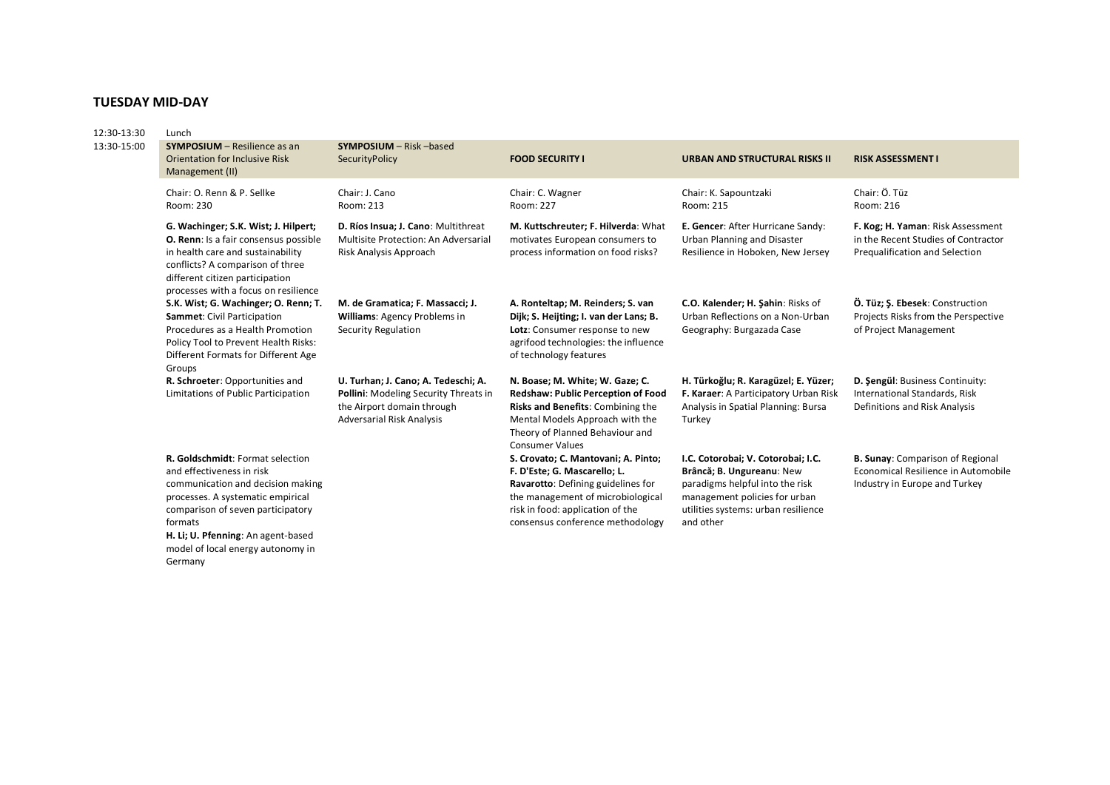# **TUESDAY MID-DAY**

| 12:30-13:30<br>13:30-15:00 | Lunch                                                                                                                                                                                                                                    |                                                                                                                                                |                                                                                                                                                                                                                        |                                                                                                                                                                                         |                                                                                                                 |  |  |  |
|----------------------------|------------------------------------------------------------------------------------------------------------------------------------------------------------------------------------------------------------------------------------------|------------------------------------------------------------------------------------------------------------------------------------------------|------------------------------------------------------------------------------------------------------------------------------------------------------------------------------------------------------------------------|-----------------------------------------------------------------------------------------------------------------------------------------------------------------------------------------|-----------------------------------------------------------------------------------------------------------------|--|--|--|
|                            | <b>SYMPOSIUM</b> - Resilience as an<br><b>Orientation for Inclusive Risk</b><br>Management (II)                                                                                                                                          | SYMPOSIUM - Risk -based<br>SecurityPolicy                                                                                                      | <b>FOOD SECURITY I</b>                                                                                                                                                                                                 | URBAN AND STRUCTURAL RISKS II                                                                                                                                                           | <b>RISK ASSESSMENT I</b>                                                                                        |  |  |  |
|                            | Chair: O. Renn & P. Sellke<br>Room: 230                                                                                                                                                                                                  | Chair: J. Cano<br>Room: 213                                                                                                                    | Chair: C. Wagner<br>Room: 227                                                                                                                                                                                          | Chair: K. Sapountzaki<br>Room: 215                                                                                                                                                      | Chair: Ö. Tüz<br>Room: 216                                                                                      |  |  |  |
|                            | G. Wachinger; S.K. Wist; J. Hilpert;<br><b>O. Renn: Is a fair consensus possible</b><br>in health care and sustainability<br>conflicts? A comparison of three<br>different citizen participation<br>processes with a focus on resilience | D. Ríos Insua; J. Cano: Multithreat<br>Multisite Protection: An Adversarial<br>Risk Analysis Approach                                          | M. Kuttschreuter; F. Hilverda: What<br>motivates European consumers to<br>process information on food risks?                                                                                                           | E. Gencer: After Hurricane Sandy:<br><b>Urban Planning and Disaster</b><br>Resilience in Hoboken, New Jersey                                                                            | F. Kog; H. Yaman: Risk Assessment<br>in the Recent Studies of Contractor<br>Prequalification and Selection      |  |  |  |
|                            | S.K. Wist; G. Wachinger; O. Renn; T.<br>Sammet: Civil Participation<br>Procedures as a Health Promotion<br>Policy Tool to Prevent Health Risks:<br>Different Formats for Different Age<br>Groups                                         | M. de Gramatica; F. Massacci; J.<br>Williams: Agency Problems in<br>Security Regulation                                                        | A. Ronteltap; M. Reinders; S. van<br>Dijk; S. Heijting; I. van der Lans; B.<br>Lotz: Consumer response to new<br>agrifood technologies: the influence<br>of technology features                                        | C.O. Kalender; H. Sahin: Risks of<br>Urban Reflections on a Non-Urban<br>Geography: Burgazada Case                                                                                      | Ö. Tüz; S. Ebesek: Construction<br>Projects Risks from the Perspective<br>of Project Management                 |  |  |  |
|                            | R. Schroeter: Opportunities and<br>Limitations of Public Participation                                                                                                                                                                   | U. Turhan; J. Cano; A. Tedeschi; A.<br>Pollini: Modeling Security Threats in<br>the Airport domain through<br><b>Adversarial Risk Analysis</b> | N. Boase; M. White; W. Gaze; C.<br><b>Redshaw: Public Perception of Food</b><br>Risks and Benefits: Combining the<br>Mental Models Approach with the<br>Theory of Planned Behaviour and<br><b>Consumer Values</b>      | H. Türkoğlu; R. Karagüzel; E. Yüzer;<br>F. Karaer: A Participatory Urban Risk<br>Analysis in Spatial Planning: Bursa<br>Turkey                                                          | D. Sengül: Business Continuity:<br>International Standards, Risk<br>Definitions and Risk Analysis               |  |  |  |
|                            | R. Goldschmidt: Format selection<br>and effectiveness in risk<br>communication and decision making<br>processes. A systematic empirical<br>comparison of seven participatory<br>formats<br>H. Li; U. Pfenning: An agent-based            |                                                                                                                                                | S. Crovato; C. Mantovani; A. Pinto;<br>F. D'Este; G. Mascarello; L.<br>Ravarotto: Defining guidelines for<br>the management of microbiological<br>risk in food: application of the<br>consensus conference methodology | I.C. Cotorobai; V. Cotorobai; I.C.<br>Brâncă; B. Ungureanu: New<br>paradigms helpful into the risk<br>management policies for urban<br>utilities systems: urban resilience<br>and other | <b>B. Sunay: Comparison of Regional</b><br>Economical Resilience in Automobile<br>Industry in Europe and Turkey |  |  |  |

model of local energy autonomy in Germany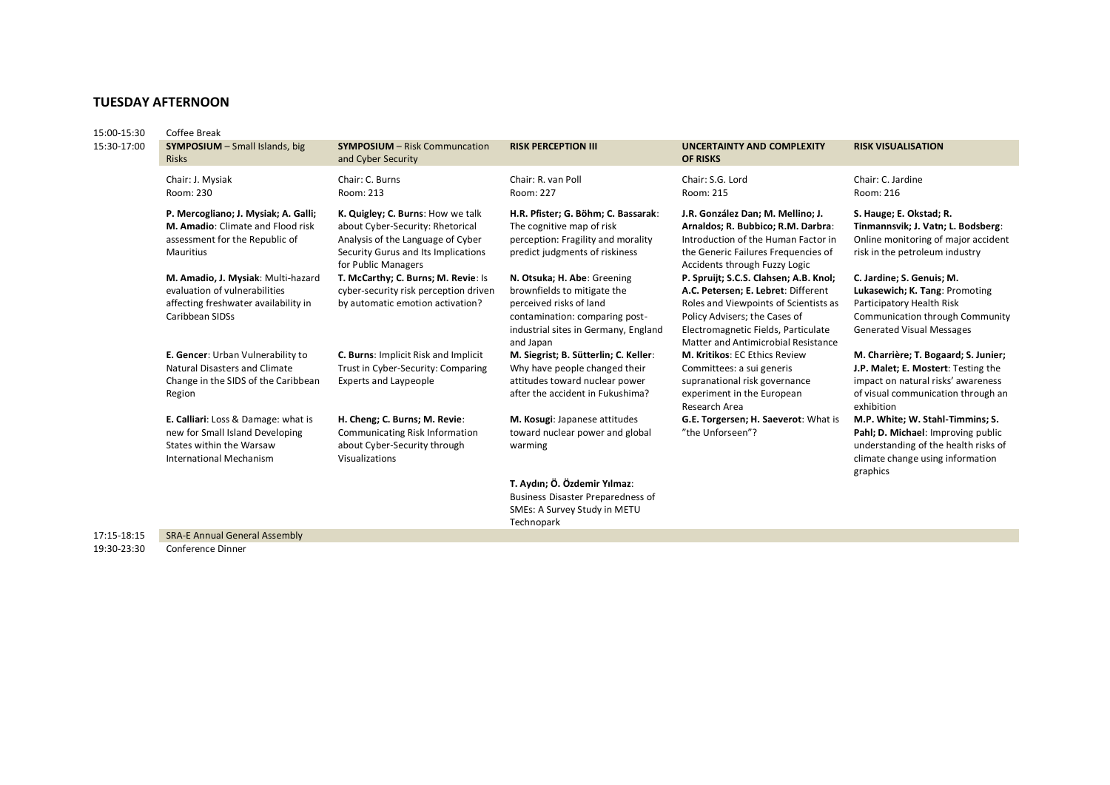## **TUESDAY AFTERNOON**

| 15:00-15:30 | Coffee Break                                                                                                                         |                                                                                                                                                                          |                                                                                                                                                                              |                                                                                                                                                                                                                                       |                                                                                                                                                                       |
|-------------|--------------------------------------------------------------------------------------------------------------------------------------|--------------------------------------------------------------------------------------------------------------------------------------------------------------------------|------------------------------------------------------------------------------------------------------------------------------------------------------------------------------|---------------------------------------------------------------------------------------------------------------------------------------------------------------------------------------------------------------------------------------|-----------------------------------------------------------------------------------------------------------------------------------------------------------------------|
| 15:30-17:00 | <b>SYMPOSIUM</b> - Small Islands, big<br><b>Risks</b>                                                                                | <b>SYMPOSIUM - Risk Communcation</b><br>and Cyber Security                                                                                                               | <b>RISK PERCEPTION III</b>                                                                                                                                                   | <b>UNCERTAINTY AND COMPLEXITY</b><br><b>OF RISKS</b>                                                                                                                                                                                  | <b>RISK VISUALISATION</b>                                                                                                                                             |
|             | Chair: J. Mysiak<br>Room: 230                                                                                                        | Chair: C. Burns<br>Room: 213                                                                                                                                             | Chair: R. van Poll<br>Room: 227                                                                                                                                              | Chair: S.G. Lord<br>Room: 215                                                                                                                                                                                                         | Chair: C. Jardine<br>Room: 216                                                                                                                                        |
|             | P. Mercogliano; J. Mysiak; A. Galli;<br>M. Amadio: Climate and Flood risk<br>assessment for the Republic of<br>Mauritius             | K. Quigley; C. Burns: How we talk<br>about Cyber-Security: Rhetorical<br>Analysis of the Language of Cyber<br>Security Gurus and Its Implications<br>for Public Managers | H.R. Pfister; G. Böhm; C. Bassarak:<br>The cognitive map of risk<br>perception: Fragility and morality<br>predict judgments of riskiness                                     | J.R. González Dan; M. Mellino; J.<br>Arnaldos; R. Bubbico; R.M. Darbra:<br>Introduction of the Human Factor in<br>the Generic Failures Frequencies of<br>Accidents through Fuzzy Logic                                                | S. Hauge; E. Okstad; R.<br>Tinmannsvik; J. Vatn; L. Bodsberg:<br>Online monitoring of major accident<br>risk in the petroleum industry                                |
|             | M. Amadio, J. Mysiak: Multi-hazard<br>evaluation of vulnerabilities<br>affecting freshwater availability in<br>Caribbean SIDSs       | T. McCarthy; C. Burns; M. Revie: Is<br>cyber-security risk perception driven<br>by automatic emotion activation?                                                         | N. Otsuka; H. Abe: Greening<br>brownfields to mitigate the<br>perceived risks of land<br>contamination: comparing post-<br>industrial sites in Germany, England<br>and Japan | P. Spruijt; S.C.S. Clahsen; A.B. Knol;<br>A.C. Petersen; E. Lebret: Different<br>Roles and Viewpoints of Scientists as<br>Policy Advisers; the Cases of<br>Electromagnetic Fields, Particulate<br>Matter and Antimicrobial Resistance | C. Jardine; S. Genuis; M.<br>Lukasewich; K. Tang: Promoting<br>Participatory Health Risk<br>Communication through Community<br><b>Generated Visual Messages</b>       |
|             | E. Gencer: Urban Vulnerability to<br><b>Natural Disasters and Climate</b><br>Change in the SIDS of the Caribbean<br>Region           | <b>C. Burns: Implicit Risk and Implicit</b><br>Trust in Cyber-Security: Comparing<br><b>Experts and Laypeople</b>                                                        | M. Siegrist; B. Sütterlin; C. Keller:<br>Why have people changed their<br>attitudes toward nuclear power<br>after the accident in Fukushima?                                 | <b>M. Kritikos: EC Ethics Review</b><br>Committees: a sui generis<br>supranational risk governance<br>experiment in the European<br>Research Area                                                                                     | M. Charrière; T. Bogaard; S. Junier;<br>J.P. Malet; E. Mostert: Testing the<br>impact on natural risks' awareness<br>of visual communication through an<br>exhibition |
|             | E. Calliari: Loss & Damage: what is<br>new for Small Island Developing<br>States within the Warsaw<br><b>International Mechanism</b> | H. Cheng; C. Burns; M. Revie:<br><b>Communicating Risk Information</b><br>about Cyber-Security through<br>Visualizations                                                 | M. Kosugi: Japanese attitudes<br>toward nuclear power and global<br>warming                                                                                                  | G.E. Torgersen; H. Saeverot: What is<br>"the Unforseen"?                                                                                                                                                                              | M.P. White; W. Stahl-Timmins; S.<br>Pahl; D. Michael: Improving public<br>understanding of the health risks of<br>climate change using information<br>graphics        |
|             |                                                                                                                                      |                                                                                                                                                                          | T. Aydın; Ö. Özdemir Yılmaz:<br><b>Business Disaster Preparedness of</b><br>SMEs: A Survey Study in METU<br>Technopark                                                       |                                                                                                                                                                                                                                       |                                                                                                                                                                       |
| 17:15-18:15 | <b>SRA-E Annual General Assembly</b>                                                                                                 |                                                                                                                                                                          |                                                                                                                                                                              |                                                                                                                                                                                                                                       |                                                                                                                                                                       |

19:30-23:30 Conference Dinner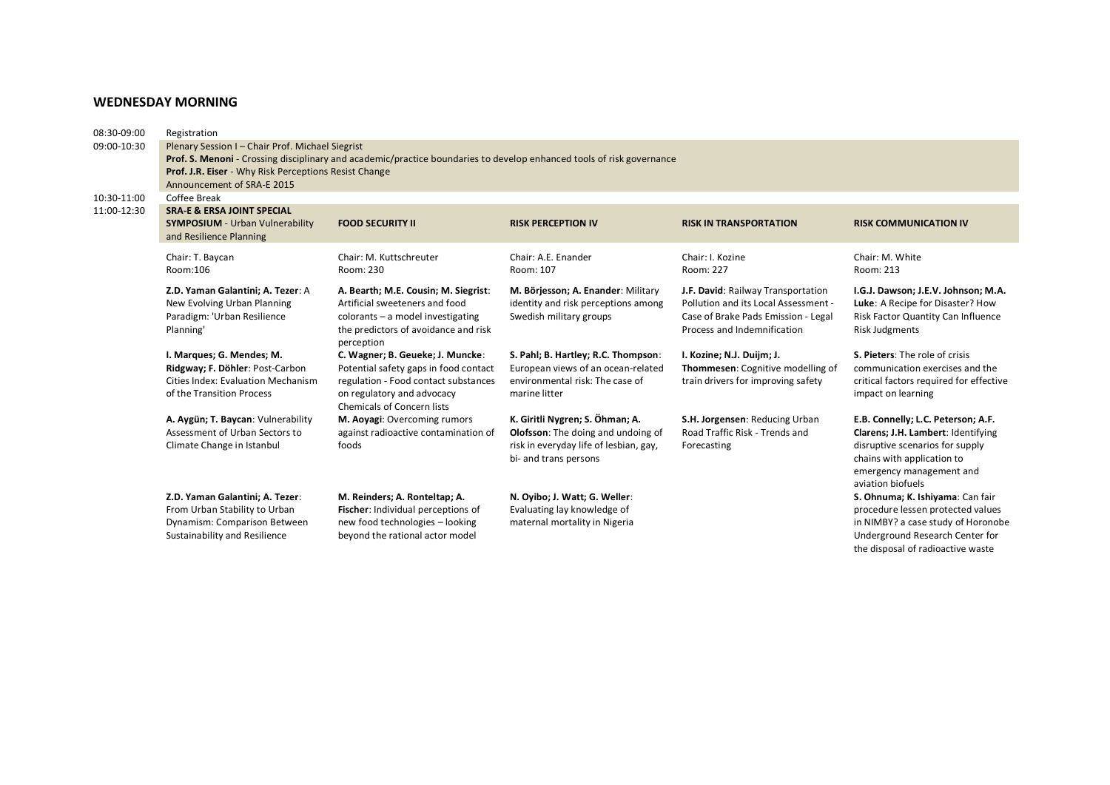#### **WEDNESDAY MORNING**

| 08:30-09:00 | Registration                                                                                                          |                                                                               |                                                                       |                                                                         |                                                                   |  |  |  |  |
|-------------|-----------------------------------------------------------------------------------------------------------------------|-------------------------------------------------------------------------------|-----------------------------------------------------------------------|-------------------------------------------------------------------------|-------------------------------------------------------------------|--|--|--|--|
| 09:00-10:30 | Plenary Session I - Chair Prof. Michael Siegrist                                                                      |                                                                               |                                                                       |                                                                         |                                                                   |  |  |  |  |
|             | Prof. S. Menoni - Crossing disciplinary and academic/practice boundaries to develop enhanced tools of risk governance |                                                                               |                                                                       |                                                                         |                                                                   |  |  |  |  |
|             | Prof. J.R. Eiser - Why Risk Perceptions Resist Change                                                                 |                                                                               |                                                                       |                                                                         |                                                                   |  |  |  |  |
|             | Announcement of SRA-E 2015                                                                                            |                                                                               |                                                                       |                                                                         |                                                                   |  |  |  |  |
| 10:30-11:00 | Coffee Break                                                                                                          |                                                                               |                                                                       |                                                                         |                                                                   |  |  |  |  |
| 11:00-12:30 | <b>SRA-E &amp; ERSA JOINT SPECIAL</b>                                                                                 |                                                                               |                                                                       |                                                                         |                                                                   |  |  |  |  |
|             | <b>SYMPOSIUM</b> - Urban Vulnerability                                                                                | <b>FOOD SECURITY II</b>                                                       | <b>RISK PERCEPTION IV</b>                                             | <b>RISK IN TRANSPORTATION</b>                                           | <b>RISK COMMUNICATION IV</b>                                      |  |  |  |  |
|             | and Resilience Planning                                                                                               |                                                                               |                                                                       |                                                                         |                                                                   |  |  |  |  |
|             | Chair: T. Baycan                                                                                                      | Chair: M. Kuttschreuter                                                       | Chair: A.E. Enander                                                   | Chair: I. Kozine                                                        | Chair: M. White                                                   |  |  |  |  |
|             | Room:106                                                                                                              | Room: 230                                                                     | Room: 107                                                             | Room: 227                                                               | Room: 213                                                         |  |  |  |  |
|             |                                                                                                                       |                                                                               |                                                                       |                                                                         |                                                                   |  |  |  |  |
|             | Z.D. Yaman Galantini; A. Tezer: A                                                                                     | A. Bearth; M.E. Cousin; M. Siegrist:                                          | M. Börjesson; A. Enander: Military                                    | J.F. David: Railway Transportation                                      | I.G.J. Dawson; J.E.V. Johnson; M.A.                               |  |  |  |  |
|             | New Evolving Urban Planning                                                                                           | Artificial sweeteners and food                                                | identity and risk perceptions among                                   | Pollution and its Local Assessment -                                    | Luke: A Recipe for Disaster? How                                  |  |  |  |  |
|             | Paradigm: 'Urban Resilience                                                                                           | colorants - a model investigating                                             | Swedish military groups                                               | Case of Brake Pads Emission - Legal                                     | Risk Factor Quantity Can Influence                                |  |  |  |  |
|             | Planning'                                                                                                             | the predictors of avoidance and risk                                          |                                                                       | Process and Indemnification                                             | <b>Risk Judgments</b>                                             |  |  |  |  |
|             |                                                                                                                       | perception                                                                    |                                                                       |                                                                         |                                                                   |  |  |  |  |
|             | I. Marques; G. Mendes; M.                                                                                             | C. Wagner; B. Geueke; J. Muncke:                                              | S. Pahl; B. Hartley; R.C. Thompson:                                   | I. Kozine; N.J. Duijm; J.                                               | S. Pieters: The role of crisis<br>communication exercises and the |  |  |  |  |
|             | Ridgway; F. Döhler: Post-Carbon<br>Cities Index: Evaluation Mechanism                                                 | Potential safety gaps in food contact<br>regulation - Food contact substances | European views of an ocean-related<br>environmental risk: The case of | Thommesen: Cognitive modelling of<br>train drivers for improving safety | critical factors required for effective                           |  |  |  |  |
|             | of the Transition Process                                                                                             | on regulatory and advocacy                                                    | marine litter                                                         |                                                                         | impact on learning                                                |  |  |  |  |
|             |                                                                                                                       | <b>Chemicals of Concern lists</b>                                             |                                                                       |                                                                         |                                                                   |  |  |  |  |
|             | A. Aygün; T. Baycan: Vulnerability                                                                                    | M. Aoyagi: Overcoming rumors                                                  | K. Giritli Nygren; S. Öhman; A.                                       | S.H. Jorgensen: Reducing Urban                                          | E.B. Connelly; L.C. Peterson; A.F.                                |  |  |  |  |
|             | Assessment of Urban Sectors to                                                                                        | against radioactive contamination of                                          | Olofsson: The doing and undoing of                                    | Road Traffic Risk - Trends and                                          | Clarens; J.H. Lambert: Identifying                                |  |  |  |  |
|             | Climate Change in Istanbul                                                                                            | foods                                                                         | risk in everyday life of lesbian, gay,                                | Forecasting                                                             | disruptive scenarios for supply                                   |  |  |  |  |
|             |                                                                                                                       |                                                                               | bi- and trans persons                                                 |                                                                         | chains with application to                                        |  |  |  |  |
|             |                                                                                                                       |                                                                               |                                                                       |                                                                         | emergency management and                                          |  |  |  |  |
|             |                                                                                                                       |                                                                               |                                                                       |                                                                         | aviation biofuels                                                 |  |  |  |  |
|             | Z.D. Yaman Galantini; A. Tezer:                                                                                       | M. Reinders; A. Ronteltap; A.                                                 | N. Oyibo; J. Watt; G. Weller:                                         |                                                                         | S. Ohnuma; K. Ishiyama: Can fair                                  |  |  |  |  |
|             | From Urban Stability to Urban                                                                                         | Fischer: Individual perceptions of                                            | Evaluating lay knowledge of                                           |                                                                         | procedure lessen protected values                                 |  |  |  |  |
|             | Dynamism: Comparison Between                                                                                          | new food technologies - looking                                               | maternal mortality in Nigeria                                         |                                                                         | in NIMBY? a case study of Horonobe                                |  |  |  |  |
|             | Sustainability and Resilience                                                                                         | beyond the rational actor model                                               |                                                                       |                                                                         | Underground Research Center for                                   |  |  |  |  |
|             |                                                                                                                       |                                                                               |                                                                       |                                                                         | the disposal of radioactive waste                                 |  |  |  |  |